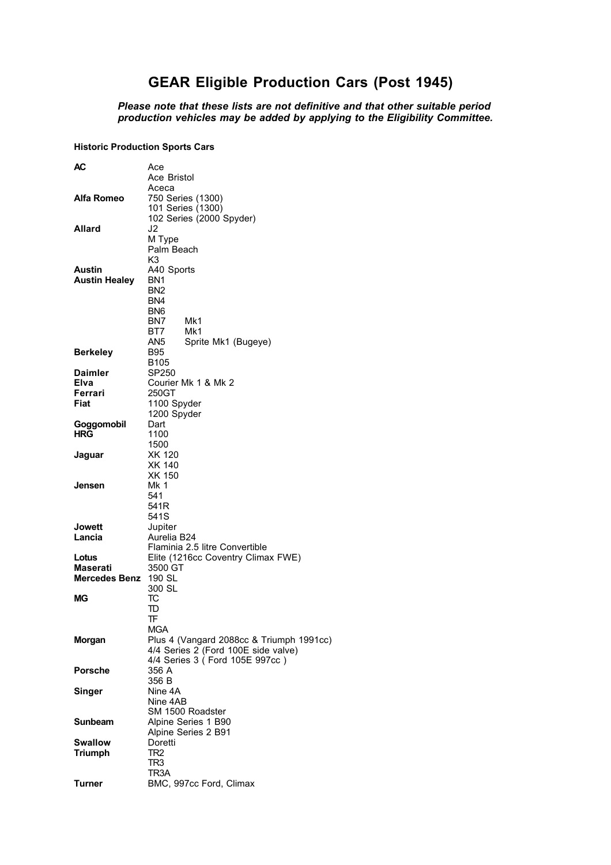## **GEAR Eligible Production Cars (Post 1945)**

 *Please note that these lists are not definitive and that other suitable period production vehicles may be added by applying to the Eligibility Committee.*

## **Historic Production Sports Cars**

| AC                             | Ace                                      |
|--------------------------------|------------------------------------------|
|                                | Ace Bristol                              |
|                                | Aceca                                    |
| Alfa Romeo                     | 750 Series (1300)                        |
|                                | 101 Series (1300)                        |
|                                | 102 Series (2000 Spyder)                 |
| Allard                         | J2                                       |
|                                | M Type                                   |
|                                | Palm Beach                               |
|                                | K3                                       |
| Austin<br><b>Austin Healey</b> | A40 Sports<br>BN <sub>1</sub>            |
|                                | BN <sub>2</sub>                          |
|                                | BN4                                      |
|                                | BN <sub>6</sub>                          |
|                                | Mk1<br>BN7                               |
|                                | Mk1<br>BT7                               |
|                                | AN5<br>Sprite Mk1 (Bugeye)               |
| <b>Berkeley</b>                | B95                                      |
|                                | B <sub>105</sub>                         |
| <b>Daimler</b>                 | SP250                                    |
| Elva                           | Courier Mk 1 & Mk 2                      |
| Ferrari                        | 250GT                                    |
| Fiat                           | 1100 Spyder                              |
|                                | 1200 Spyder                              |
| Goggomobil                     | Dart                                     |
| HRG                            | 1100                                     |
|                                | 1500                                     |
| Jaguar                         | <b>XK 120</b>                            |
|                                | XK 140                                   |
|                                | XK 150                                   |
| Jensen                         | Mk 1                                     |
|                                | 541                                      |
|                                | 541R<br>541S                             |
| Jowett                         | Jupiter                                  |
| Lancia                         | Aurelia B24                              |
|                                | Flaminia 2.5 litre Convertible           |
| Lotus                          | Elite (1216cc Coventry Climax FWE)       |
| Maserati                       | 3500 GT                                  |
| Mercedes Benz                  | 190 SL                                   |
|                                | 300 SL                                   |
| МG                             | TC                                       |
|                                | TD                                       |
|                                | TF                                       |
|                                | Mga                                      |
| <b>Morgan</b>                  | Plus 4 (Vangard 2088cc & Triumph 1991cc) |
|                                | 4/4 Series 2 (Ford 100E side valve)      |
|                                | 4/4 Series 3 ( Ford 105E 997cc )         |
| <b>Porsche</b>                 | 356 A                                    |
|                                | 356 B                                    |
| Singer                         | Nine 4A                                  |
|                                | Nine 4AB                                 |
|                                | SM 1500 Roadster                         |
| Sunbeam                        | Alpine Series 1 B90                      |
| <b>Swallow</b>                 | Alpine Series 2 B91<br>Doretti           |
| <b>Triumph</b>                 | TR <sub>2</sub>                          |
|                                | TR <sub>3</sub>                          |
|                                | TR3A                                     |
| <b>Turner</b>                  | BMC, 997cc Ford, Climax                  |
|                                |                                          |